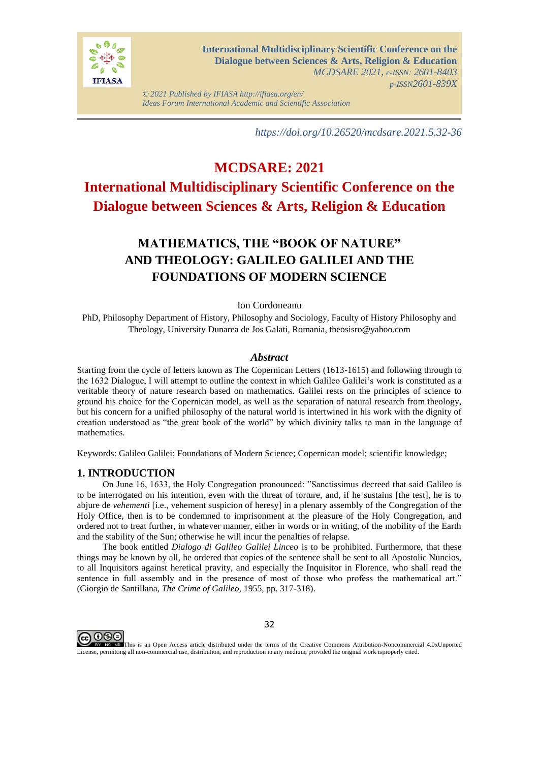

*© 2021 Published by IFIASA http://ifiasa.org/en/ Ideas Forum International Academic and Scientific Association*

*https://doi.org/10.26520/mcdsare.2021.5.32-36*

# **MCDSARE: 2021 International Multidisciplinary Scientific Conference on the Dialogue between Sciences & Arts, Religion & Education**

## **MATHEMATICS, THE "BOOK OF NATURE" AND THEOLOGY: GALILEO GALILEI AND THE FOUNDATIONS OF MODERN SCIENCE**

Ion Cordoneanu

PhD, Philosophy Department of History, Philosophy and Sociology, Faculty of History Philosophy and Theology, University Dunarea de Jos Galati, Romania, theosisro@yahoo.com

#### *Abstract*

Starting from the cycle of letters known as The Copernican Letters (1613-1615) and following through to the 1632 Dialogue, I will attempt to outline the context in which Galileo Galilei's work is constituted as a veritable theory of nature research based on mathematics. Galilei rests on the principles of science to ground his choice for the Copernican model, as well as the separation of natural research from theology, but his concern for a unified philosophy of the natural world is intertwined in his work with the dignity of creation understood as "the great book of the world" by which divinity talks to man in the language of mathematics.

Keywords: Galileo Galilei; Foundations of Modern Science; Copernican model; scientific knowledge;

#### **1. INTRODUCTION**

On June 16, 1633, the Holy Congregation pronounced: "Sanctissimus decreed that said Galileo is to be interrogated on his intention, even with the threat of torture, and, if he sustains [the test], he is to abjure de *vehementi* [i.e., vehement suspicion of heresy] in a plenary assembly of the Congregation of the Holy Office, then is to be condemned to imprisonment at the pleasure of the Holy Congregation, and ordered not to treat further, in whatever manner, either in words or in writing, of the mobility of the Earth and the stability of the Sun; otherwise he will incur the penalties of relapse.

The book entitled *Dialogo di Galileo Galilei Linceo* is to be prohibited. Furthermore, that these things may be known by all, he ordered that copies of the sentence shall be sent to all Apostolic Nuncios, to all Inquisitors against heretical pravity, and especially the Inquisitor in Florence, who shall read the sentence in full assembly and in the presence of most of those who profess the mathematical art." (Giorgio de Santillana, *The Crime of Galileo*, 1955, pp. 317-318).



EV NO This is an Open Access article distributed under the terms of the Creative Commons Attribution-Noncommercial 4.0xUnported License, permitting all non-commercial use, distribution, and reproduction in any medium, provided the original work isproperly cited.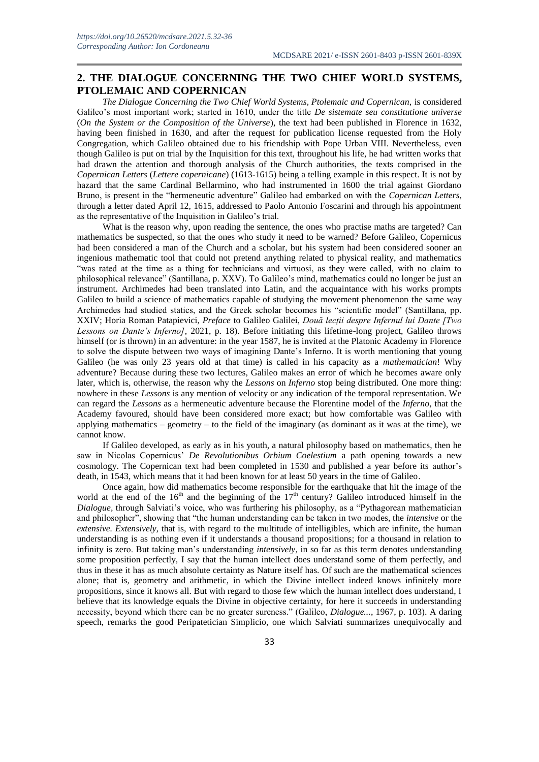### **2. THE DIALOGUE CONCERNING THE TWO CHIEF WORLD SYSTEMS, PTOLEMAIC AND COPERNICAN**

*The Dialogue Concerning the Two Chief World Systems, Ptolemaic and Copernican,* is considered Galileo's most important work; started in 1610, under the title *De sistemate seu constitutione universe* (*On the System or the Composition of the Universe*), the text had been published in Florence in 1632, having been finished in 1630, and after the request for publication license requested from the Holy Congregation, which Galileo obtained due to his friendship with Pope Urban VIII. Nevertheless, even though Galileo is put on trial by the Inquisition for this text, throughout his life, he had written works that had drawn the attention and thorough analysis of the Church authorities, the texts comprised in the *Copernican Letters* (*Lettere copernicane*) (1613-1615) being a telling example in this respect. It is not by hazard that the same Cardinal Bellarmino, who had instrumented in 1600 the trial against Giordano Bruno, is present in the "hermeneutic adventure" Galileo had embarked on with the *Copernican Letters*, through a letter dated April 12, 1615, addressed to Paolo Antonio Foscarini and through his appointment as the representative of the Inquisition in Galileo's trial.

What is the reason why, upon reading the sentence, the ones who practise maths are targeted? Can mathematics be suspected, so that the ones who study it need to be warned? Before Galileo, Copernicus had been considered a man of the Church and a scholar, but his system had been considered sooner an ingenious mathematic tool that could not pretend anything related to physical reality, and mathematics "was rated at the time as a thing for technicians and virtuosi, as they were called, with no claim to philosophical relevance" (Santillana, p. XXV). To Galileo's mind, mathematics could no longer be just an instrument. Archimedes had been translated into Latin, and the acquaintance with his works prompts Galileo to build a science of mathematics capable of studying the movement phenomenon the same way Archimedes had studied statics, and the Greek scholar becomes his "scientific model" (Santillana, pp. XXIV; Horia Roman Patapievici, *Preface* to Galileo Galilei, *Două lecții despre Infernul lui Dante [Two Lessons on Dante's Inferno]*, 2021, p. 18). Before initiating this lifetime-long project, Galileo throws himself (or is thrown) in an adventure: in the year 1587, he is invited at the Platonic Academy in Florence to solve the dispute between two ways of imagining Dante's Inferno. It is worth mentioning that young Galileo (he was only 23 years old at that time) is called in his capacity as a *mathematician*! Why adventure? Because during these two lectures, Galileo makes an error of which he becomes aware only later, which is, otherwise, the reason why the *Lessons* on *Inferno* stop being distributed. One more thing: nowhere in these *Lessons* is any mention of velocity or any indication of the temporal representation. We can regard the *Lessons* as a hermeneutic adventure because the Florentine model of the *Inferno*, that the Academy favoured, should have been considered more exact; but how comfortable was Galileo with applying mathematics – geometry – to the field of the imaginary (as dominant as it was at the time), we cannot know.

If Galileo developed, as early as in his youth, a natural philosophy based on mathematics, then he saw in Nicolas Copernicus' *De Revolutionibus Orbium Coelestium* a path opening towards a new cosmology. The Copernican text had been completed in 1530 and published a year before its author's death, in 1543, which means that it had been known for at least 50 years in the time of Galileo.

Once again, how did mathematics become responsible for the earthquake that hit the image of the world at the end of the  $16<sup>th</sup>$  and the beginning of the  $17<sup>th</sup>$  century? Galileo introduced himself in the *Dialogue,* through Salviati's voice, who was furthering his philosophy, as a "Pythagorean mathematician and philosopher", showing that "the human understanding can be taken in two modes, the *intensive* or the *extensive. Extensively,* that is, with regard to the multitude of intelligibles, which are infinite, the human understanding is as nothing even if it understands a thousand propositions; for a thousand in relation to infinity is zero. But taking man's understanding *intensively,* in so far as this term denotes understanding some proposition perfectly, I say that the human intellect does understand some of them perfectly, and thus in these it has as much absolute certainty as Nature itself has. Of such are the mathematical sciences alone; that is, geometry and arithmetic, in which the Divine intellect indeed knows infinitely more propositions, since it knows all. But with regard to those few which the human intellect does understand, I believe that its knowledge equals the Divine in objective certainty, for here it succeeds in understanding necessity, beyond which there can be no greater sureness." (Galileo, *Dialogue...*, 1967, p. 103). A daring speech, remarks the good Peripatetician Simplicio, one which Salviati summarizes unequivocally and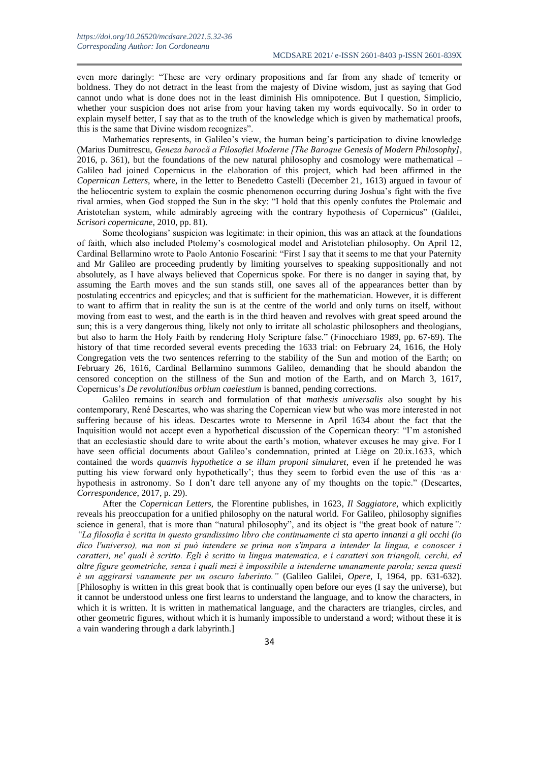even more daringly: "These are very ordinary propositions and far from any shade of temerity or boldness. They do not detract in the least from the majesty of Divine wisdom, just as saying that God cannot undo what is done does not in the least diminish His omnipotence. But I question, Simplicio, whether your suspicion does not arise from your having taken my words equivocally. So in order to explain myself better, I say that as to the truth of the knowledge which is given by mathematical proofs, this is the same that Divine wisdom recognizes".

Mathematics represents, in Galileo's view, the human being's participation to divine knowledge (Marius Dumitrescu, *Geneza barocă a Filosofiei Moderne [The Baroque Genesis of Modern Philosophy]*, 2016, p. 361), but the foundations of the new natural philosophy and cosmology were mathematical – Galileo had joined Copernicus in the elaboration of this project, which had been affirmed in the *Copernican Letters*, where, in the letter to Benedetto Castelli (December 21, 1613) argued in favour of the heliocentric system to explain the cosmic phenomenon occurring during Joshua's fight with the five rival armies, when God stopped the Sun in the sky: "I hold that this openly confutes the Ptolemaic and Aristotelian system, while admirably agreeing with the contrary hypothesis of Copernicus" (Galilei, *Scrisori copernicane*, 2010, pp. 81).

Some theologians' suspicion was legitimate: in their opinion, this was an attack at the foundations of faith, which also included Ptolemy's cosmological model and Aristotelian philosophy. On April 12, Cardinal Bellarmino wrote to Paolo Antonio Foscarini: "First I say that it seems to me that your Paternity and Mr Galileo are proceeding prudently by limiting yourselves to speaking suppositionally and not absolutely, as I have always believed that Copernicus spoke. For there is no danger in saying that, by assuming the Earth moves and the sun stands still, one saves all of the appearances better than by postulating eccentrics and epicycles; and that is sufficient for the mathematician. However, it is different to want to affirm that in reality the sun is at the centre of the world and only turns on itself, without moving from east to west, and the earth is in the third heaven and revolves with great speed around the sun; this is a very dangerous thing, likely not only to irritate all scholastic philosophers and theologians, but also to harm the Holy Faith by rendering Holy Scripture false." (Finocchiaro 1989, pp. 67-69). The history of that time recorded several events preceding the 1633 trial: on February 24, 1616, the Holy Congregation vets the two sentences referring to the stability of the Sun and motion of the Earth; on February 26, 1616, Cardinal Bellarmino summons Galileo, demanding that he should abandon the censored conception on the stillness of the Sun and motion of the Earth, and on March 3, 1617, Copernicus's *De revolutionibus orbium caelestium* is banned, pending corrections.

Galileo remains in search and formulation of that *mathesis universalis* also sought by his contemporary, René Descartes, who was sharing the Copernican view but who was more interested in not suffering because of his ideas. Descartes wrote to Mersenne in April 1634 about the fact that the Inquisition would not accept even a hypothetical discussion of the Copernican theory: "I'm astonished that an ecclesiastic should dare to write about the earth's motion, whatever excuses he may give. For I have seen official documents about Galileo's condemnation, printed at Liège on 20.ix.1633, which contained the words *quamvis hypothetice a se illam proponi simularet*, even if he pretended he was putting his view forward only hypothetically'; thus they seem to forbid even the use of this ·as a· hypothesis in astronomy. So I don't dare tell anyone any of my thoughts on the topic." (Descartes, *Correspondence*, 2017, p. 29).

After the *Copernican Letters,* the Florentine publishes, in 1623*, Il Saggiatore*, which explicitly reveals his preoccupation for a unified philosophy on the natural world. For Galileo, philosophy signifies science in general, that is more than "natural philosophy", and its object is "the great book of nature*": "La filosofia è scritta in questo grandissimo libro che continuamente ci sta aperto innanzi a gli occhi (io dico l'universo), ma non si può intendere se prima non s'impara a intender la lingua, e conoscer i caratteri, ne' quali è scritto. Egli è scritto in lingua matematica, e i caratteri son triangoli, cerchi, ed altre figure geometriche, senza i quali mezi è impossibile a intenderne umanamente parola; senza questi è un aggirarsi vanamente per un oscuro laberinto."* (Galileo Galilei, *Opere*, I, 1964, pp. 631-632). [Philosophy is written in this great book that is continually open before our eyes (I say the universe), but it cannot be understood unless one first learns to understand the language, and to know the characters, in which it is written. It is written in mathematical language, and the characters are triangles, circles, and other geometric figures, without which it is humanly impossible to understand a word; without these it is a vain wandering through a dark labyrinth.]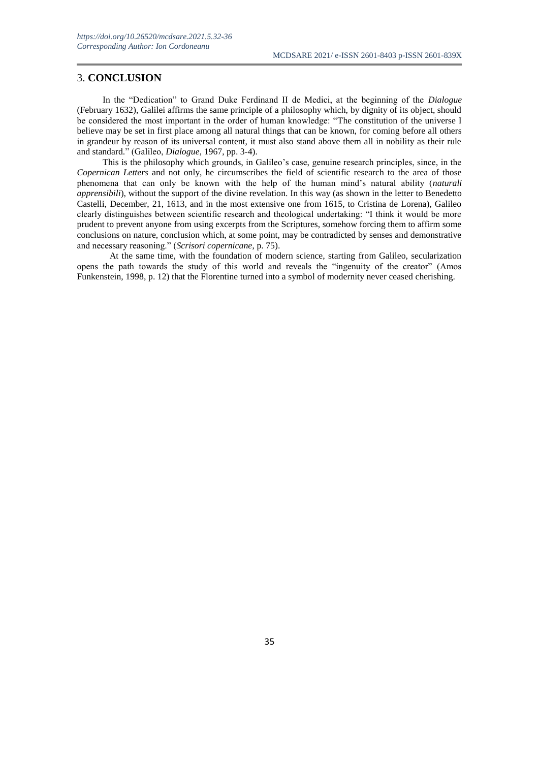#### 3. **CONCLUSION**

In the "Dedication" to Grand Duke Ferdinand II de Medici, at the beginning of the *Dialogue*  (February 1632), Galilei affirms the same principle of a philosophy which, by dignity of its object, should be considered the most important in the order of human knowledge: "The constitution of the universe I believe may be set in first place among all natural things that can be known, for coming before all others in grandeur by reason of its universal content, it must also stand above them all in nobility as their rule and standard." (Galileo, *Dialogue*, 1967, pp. 3-4).

This is the philosophy which grounds, in Galileo's case, genuine research principles, since, in the *Copernican Letters* and not only, he circumscribes the field of scientific research to the area of those phenomena that can only be known with the help of the human mind's natural ability (*naturali apprensibili*), without the support of the divine revelation. In this way (as shown in the letter to Benedetto Castelli, December, 21, 1613, and in the most extensive one from 1615, to Cristina de Lorena), Galileo clearly distinguishes between scientific research and theological undertaking: "I think it would be more prudent to prevent anyone from using excerpts from the Scriptures, somehow forcing them to affirm some conclusions on nature, conclusion which, at some point, may be contradicted by senses and demonstrative and necessary reasoning." (*Scrisori copernicane*, p. 75).

At the same time, with the foundation of modern science, starting from Galileo, secularization opens the path towards the study of this world and reveals the "ingenuity of the creator" (Amos Funkenstein, 1998, p. 12) that the Florentine turned into a symbol of modernity never ceased cherishing.